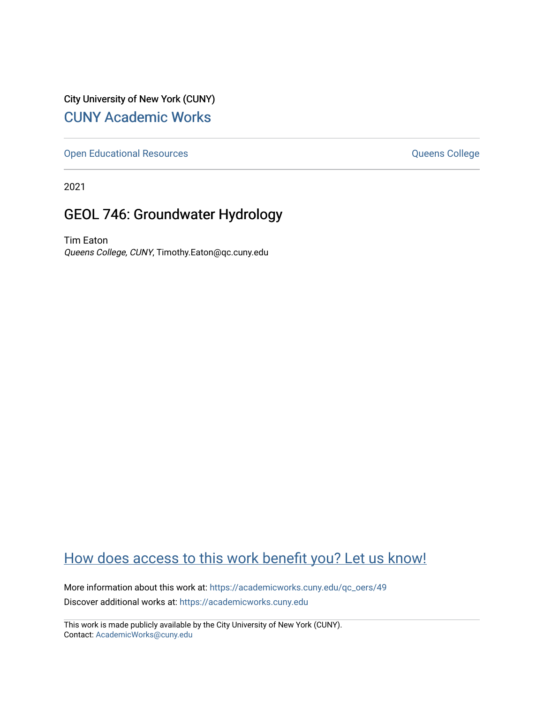City University of New York (CUNY) [CUNY Academic Works](https://academicworks.cuny.edu/) 

[Open Educational Resources](https://academicworks.cuny.edu/qc_oers) **College** Queens College

2021

# GEOL 746: Groundwater Hydrology

Tim Eaton Queens College, CUNY, Timothy.Eaton@qc.cuny.edu

# [How does access to this work benefit you? Let us know!](http://ols.cuny.edu/academicworks/?ref=https://academicworks.cuny.edu/qc_oers/49)

More information about this work at: [https://academicworks.cuny.edu/qc\\_oers/49](https://academicworks.cuny.edu/qc_oers/49) Discover additional works at: [https://academicworks.cuny.edu](https://academicworks.cuny.edu/?)

This work is made publicly available by the City University of New York (CUNY). Contact: [AcademicWorks@cuny.edu](mailto:AcademicWorks@cuny.edu)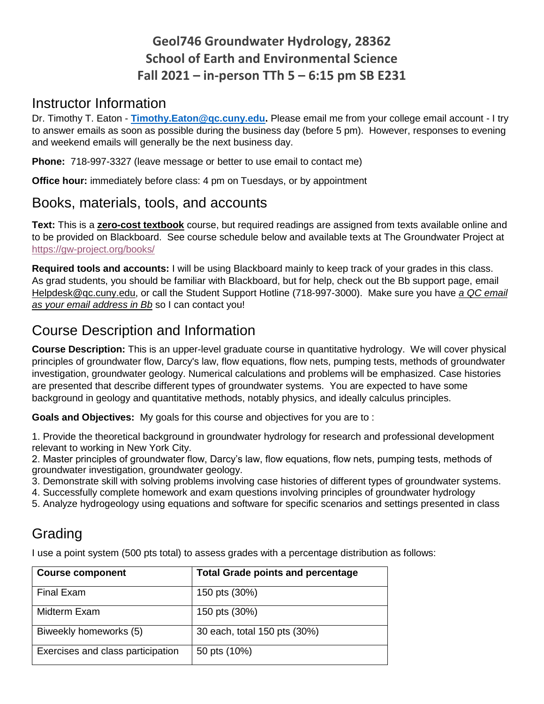# **Geol746 Groundwater Hydrology, 28362 School of Earth and Environmental Science Fall 2021 – in-person TTh 5 – 6:15 pm SB E231**

### Instructor Information

Dr. Timothy T. Eaton - **[Timothy.Eaton@qc.cuny.edu.](mailto:Timothy.Eaton@qc.cuny.edu)** Please email me from your college email account - I try to answer emails as soon as possible during the business day (before 5 pm). However, responses to evening and weekend emails will generally be the next business day.

**Phone:** 718-997-3327 (leave message or better to use email to contact me)

**Office hour:** immediately before class: 4 pm on Tuesdays, or by appointment

### Books, materials, tools, and accounts

**Text:** This is a **zero-cost textbook** course, but required readings are assigned from texts available online and to be provided on Blackboard. See course schedule below and available texts at The Groundwater Project at <https://gw-project.org/books/>

**Required tools and accounts:** I will be using Blackboard mainly to keep track of your grades in this class. As grad students, you should be familiar with Blackboard, but for help, check out the Bb support page, email Helpdesk@qc.cuny.edu, or call the Student Support Hotline (718-997-3000). Make sure you have *a QC email as your email address in Bb* so I can contact you!

# Course Description and Information

**Course Description:** This is an upper-level graduate course in quantitative hydrology. We will cover physical principles of groundwater flow, Darcy's law, flow equations, flow nets, pumping tests, methods of groundwater investigation, groundwater geology. Numerical calculations and problems will be emphasized. Case histories are presented that describe different types of groundwater systems. You are expected to have some background in geology and quantitative methods, notably physics, and ideally calculus principles.

**Goals and Objectives:** My goals for this course and objectives for you are to :

1. Provide the theoretical background in groundwater hydrology for research and professional development relevant to working in New York City.

2. Master principles of groundwater flow, Darcy's law, flow equations, flow nets, pumping tests, methods of groundwater investigation, groundwater geology.

- 3. Demonstrate skill with solving problems involving case histories of different types of groundwater systems.
- 4. Successfully complete homework and exam questions involving principles of groundwater hydrology
- 5. Analyze hydrogeology using equations and software for specific scenarios and settings presented in class

# **Grading**

I use a point system (500 pts total) to assess grades with a percentage distribution as follows:

| <b>Course component</b>           | <b>Total Grade points and percentage</b> |
|-----------------------------------|------------------------------------------|
| <b>Final Exam</b>                 | 150 pts (30%)                            |
| Midterm Exam                      | 150 pts (30%)                            |
| Biweekly homeworks (5)            | 30 each, total 150 pts (30%)             |
| Exercises and class participation | 50 pts (10%)                             |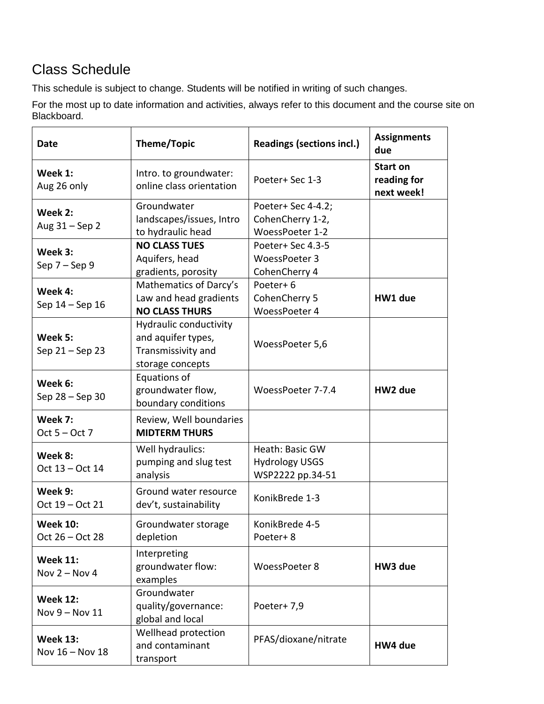# Class Schedule

This schedule is subject to change. Students will be notified in writing of such changes.

For the most up to date information and activities, always refer to this document and the course site on Blackboard.

| Date                               | Theme/Topic                                                                            | <b>Readings (sections incl.)</b>                             | <b>Assignments</b><br>due                    |
|------------------------------------|----------------------------------------------------------------------------------------|--------------------------------------------------------------|----------------------------------------------|
| Week 1:<br>Aug 26 only             | Intro. to groundwater:<br>online class orientation                                     | Poeter+ Sec 1-3                                              | <b>Start on</b><br>reading for<br>next week! |
| Week 2:<br>Aug 31 - Sep 2          | Groundwater<br>landscapes/issues, Intro<br>to hydraulic head                           | Poeter+ Sec 4-4.2;<br>CohenCherry 1-2,<br>WoessPoeter 1-2    |                                              |
| Week 3:<br>Sep $7 -$ Sep 9         | <b>NO CLASS TUES</b><br>Aquifers, head<br>gradients, porosity                          | Poeter+ Sec 4.3-5<br>WoessPoeter 3<br>CohenCherry 4          |                                              |
| Week 4:<br>Sep 14 – Sep 16         | Mathematics of Darcy's<br>Law and head gradients<br><b>NO CLASS THURS</b>              | Poeter+6<br>CohenCherry 5<br>WoessPoeter 4                   | HW1 due                                      |
| Week 5:<br>Sep 21 - Sep 23         | Hydraulic conductivity<br>and aquifer types,<br>Transmissivity and<br>storage concepts | WoessPoeter 5,6                                              |                                              |
| Week 6:<br>Sep 28 - Sep 30         | Equations of<br>groundwater flow,<br>boundary conditions                               | WoessPoeter 7-7.4                                            | HW2 due                                      |
| Week 7:<br>Oct $5 - Oct$ 7         | Review, Well boundaries<br><b>MIDTERM THURS</b>                                        |                                                              |                                              |
| Week 8:<br>Oct 13 - Oct 14         | Well hydraulics:<br>pumping and slug test<br>analysis                                  | Heath: Basic GW<br><b>Hydrology USGS</b><br>WSP2222 pp.34-51 |                                              |
| Week 9:<br>Oct 19 - Oct 21         | Ground water resource<br>dev't, sustainability                                         | KonikBrede 1-3                                               |                                              |
| <b>Week 10:</b><br>Oct 26 – Oct 28 | Groundwater storage<br>depletion                                                       | KonikBrede 4-5<br>Poeter+8                                   |                                              |
| <b>Week 11:</b><br>Nov $2 -$ Nov 4 | Interpreting<br>groundwater flow:<br>examples                                          | WoessPoeter 8                                                | HW3 due                                      |
| <b>Week 12:</b><br>Nov 9 - Nov 11  | Groundwater<br>quality/governance:<br>global and local                                 | Poeter+7,9                                                   |                                              |
| <b>Week 13:</b><br>Nov 16 - Nov 18 | Wellhead protection<br>and contaminant<br>transport                                    | PFAS/dioxane/nitrate                                         | HW4 due                                      |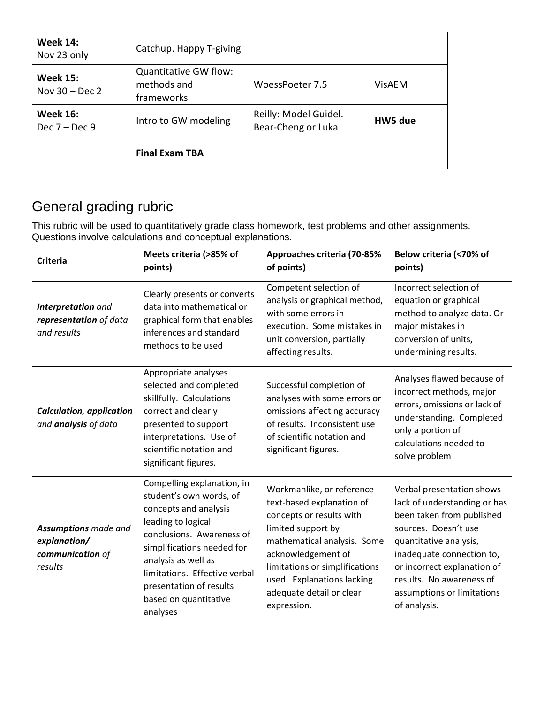| <b>Week 14:</b><br>Nov 23 only      | Catchup. Happy T-giving                                   |                                             |               |
|-------------------------------------|-----------------------------------------------------------|---------------------------------------------|---------------|
| <b>Week 15:</b><br>Nov $30 - Dec 2$ | <b>Quantitative GW flow:</b><br>methods and<br>frameworks | WoessPoeter 7.5                             | <b>VisAEM</b> |
| <b>Week 16:</b><br>Dec $7 - Dec 9$  | Intro to GW modeling                                      | Reilly: Model Guidel.<br>Bear-Cheng or Luka | HW5 due       |
|                                     | <b>Final Exam TBA</b>                                     |                                             |               |

# General grading rubric

This rubric will be used to quantitatively grade class homework, test problems and other assignments. Questions involve calculations and conceptual explanations.

| <b>Criteria</b>                                                            | Meets criteria (>85% of<br>points)                                                                                                                                                                                                                                                      | Approaches criteria (70-85%<br>of points)                                                                                                                                                                                                                                 | Below criteria (<70% of<br>points)                                                                                                                                                                                                                                             |
|----------------------------------------------------------------------------|-----------------------------------------------------------------------------------------------------------------------------------------------------------------------------------------------------------------------------------------------------------------------------------------|---------------------------------------------------------------------------------------------------------------------------------------------------------------------------------------------------------------------------------------------------------------------------|--------------------------------------------------------------------------------------------------------------------------------------------------------------------------------------------------------------------------------------------------------------------------------|
| Interpretation and<br>representation of data<br>and results                | Clearly presents or converts<br>data into mathematical or<br>graphical form that enables<br>inferences and standard<br>methods to be used                                                                                                                                               | Competent selection of<br>analysis or graphical method,<br>with some errors in<br>execution. Some mistakes in<br>unit conversion, partially<br>affecting results.                                                                                                         | Incorrect selection of<br>equation or graphical<br>method to analyze data. Or<br>major mistakes in<br>conversion of units,<br>undermining results.                                                                                                                             |
| <b>Calculation, application</b><br>and analysis of data                    | Appropriate analyses<br>selected and completed<br>skillfully. Calculations<br>correct and clearly<br>presented to support<br>interpretations. Use of<br>scientific notation and<br>significant figures.                                                                                 | Successful completion of<br>analyses with some errors or<br>omissions affecting accuracy<br>of results. Inconsistent use<br>of scientific notation and<br>significant figures.                                                                                            | Analyses flawed because of<br>incorrect methods, major<br>errors, omissions or lack of<br>understanding. Completed<br>only a portion of<br>calculations needed to<br>solve problem                                                                                             |
| <b>Assumptions</b> made and<br>explanation/<br>communication of<br>results | Compelling explanation, in<br>student's own words, of<br>concepts and analysis<br>leading to logical<br>conclusions. Awareness of<br>simplifications needed for<br>analysis as well as<br>limitations. Effective verbal<br>presentation of results<br>based on quantitative<br>analyses | Workmanlike, or reference-<br>text-based explanation of<br>concepts or results with<br>limited support by<br>mathematical analysis. Some<br>acknowledgement of<br>limitations or simplifications<br>used. Explanations lacking<br>adequate detail or clear<br>expression. | Verbal presentation shows<br>lack of understanding or has<br>been taken from published<br>sources. Doesn't use<br>quantitative analysis,<br>inadequate connection to,<br>or incorrect explanation of<br>results. No awareness of<br>assumptions or limitations<br>of analysis. |